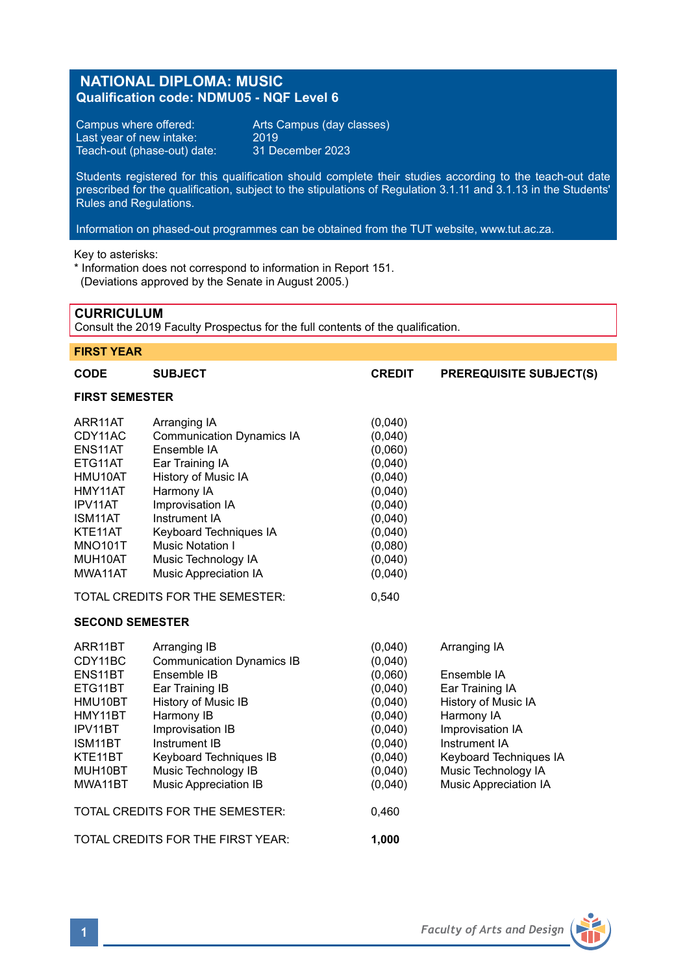# **NATIONAL DIPLOMA: MUSIC Qualification code: NDMU05 - NQF Level 6**

Campus where offered: Arts Campus (day classes)<br>Last year of new intake: 2019 Last year of new intake: 2019 Teach-out (phase-out) date: 31 December 2023

Students registered for this qualification should complete their studies according to the teach-out date prescribed for the qualification, subject to the stipulations of Regulation 3.1.11 and 3.1.13 in the Students' Rules and Regulations.

Information on phased-out programmes can be obtained from the TUT website, www.tut.ac.za.

Key to asterisks:

\* Information does not correspond to information in Report 151. (Deviations approved by the Senate in August 2005.)

# **CURRICULUM**

Consult the 2019 Faculty Prospectus for the full contents of the qualification.

# **FIRST YEAR**

| <b>CODE</b>                                                                                                                             | <b>SUBJECT</b>                                                                                                                                                                                                                                                            | <b>CREDIT</b>                                                                                                                    | <b>PREREQUISITE SUBJECT(S)</b>                                                                                                                                                                            |  |  |  |  |
|-----------------------------------------------------------------------------------------------------------------------------------------|---------------------------------------------------------------------------------------------------------------------------------------------------------------------------------------------------------------------------------------------------------------------------|----------------------------------------------------------------------------------------------------------------------------------|-----------------------------------------------------------------------------------------------------------------------------------------------------------------------------------------------------------|--|--|--|--|
| <b>FIRST SEMESTER</b>                                                                                                                   |                                                                                                                                                                                                                                                                           |                                                                                                                                  |                                                                                                                                                                                                           |  |  |  |  |
| ARR11AT<br>CDY11AC<br>ENS11AT<br>ETG11AT<br>HMU10AT<br>HMY11AT<br>IPV11AT<br>ISM11AT<br>KTE11AT<br><b>MNO101T</b><br>MUH10AT<br>MWA11AT | Arranging IA<br><b>Communication Dynamics IA</b><br>Ensemble IA<br>Ear Training IA<br>History of Music IA<br>Harmony IA<br>Improvisation IA<br>Instrument IA<br>Keyboard Techniques IA<br><b>Music Notation I</b><br>Music Technology IA<br>Music Appreciation IA         | (0,040)<br>(0,040)<br>(0,060)<br>(0,040)<br>(0,040)<br>(0,040)<br>(0,040)<br>(0,040)<br>(0,040)<br>(0.080)<br>(0,040)<br>(0,040) |                                                                                                                                                                                                           |  |  |  |  |
|                                                                                                                                         | TOTAL CREDITS FOR THE SEMESTER:                                                                                                                                                                                                                                           | 0,540                                                                                                                            |                                                                                                                                                                                                           |  |  |  |  |
| <b>SECOND SEMESTER</b>                                                                                                                  |                                                                                                                                                                                                                                                                           |                                                                                                                                  |                                                                                                                                                                                                           |  |  |  |  |
| ARR11BT<br>CDY11BC<br>ENS11BT<br>ETG11BT<br>HMU10BT<br>HMY11BT<br>IPV11BT<br>ISM11BT<br>KTE11BT<br>MUH10BT<br>MWA11BT                   | Arranging IB<br><b>Communication Dynamics IB</b><br>Ensemble IB<br>Ear Training IB<br>History of Music IB<br>Harmony IB<br>Improvisation IB<br>Instrument IB<br>Keyboard Techniques IB<br>Music Technology IB<br>Music Appreciation IB<br>TOTAL CREDITS FOR THE SEMESTER: | (0,040)<br>(0,040)<br>(0,060)<br>(0,040)<br>(0,040)<br>(0,040)<br>(0,040)<br>(0,040)<br>(0,040)<br>(0,040)<br>(0,040)<br>0,460   | Arranging IA<br>Ensemble IA<br>Ear Training IA<br>History of Music IA<br>Harmony IA<br>Improvisation IA<br>Instrument IA<br>Keyboard Techniques IA<br>Music Technology IA<br><b>Music Appreciation IA</b> |  |  |  |  |
|                                                                                                                                         | TOTAL CREDITS FOR THE FIRST YEAR:                                                                                                                                                                                                                                         | 1,000                                                                                                                            |                                                                                                                                                                                                           |  |  |  |  |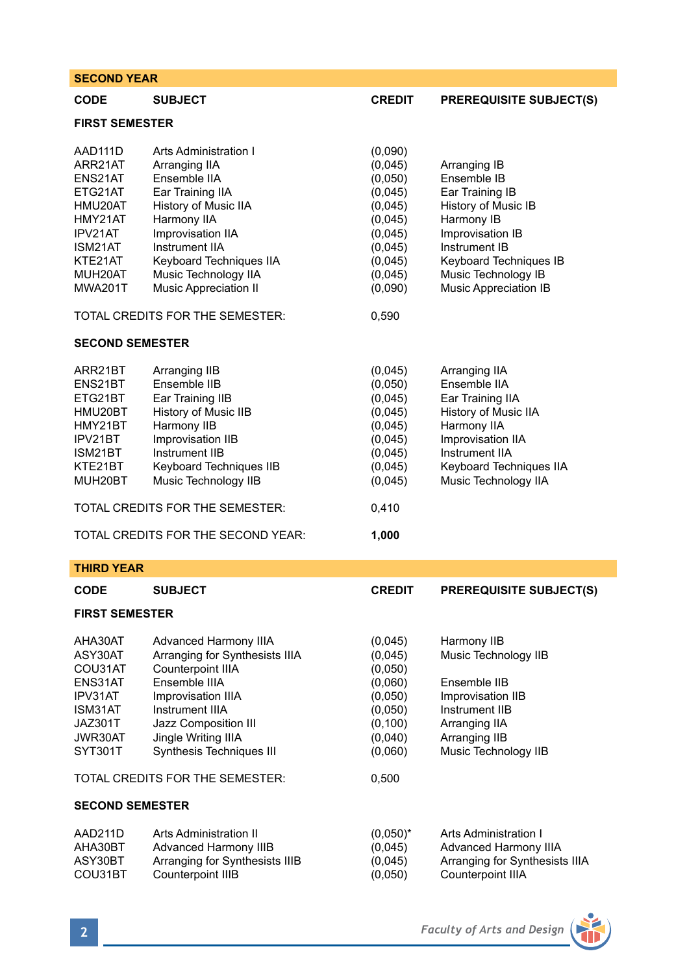| <b>SECOND YEAR</b>                                                                                                           |                                                                                                                                                                                                                                                                         |                                                                                                                                |                                                                                                                                                                                                    |  |  |  |
|------------------------------------------------------------------------------------------------------------------------------|-------------------------------------------------------------------------------------------------------------------------------------------------------------------------------------------------------------------------------------------------------------------------|--------------------------------------------------------------------------------------------------------------------------------|----------------------------------------------------------------------------------------------------------------------------------------------------------------------------------------------------|--|--|--|
| CODE                                                                                                                         | <b>SUBJECT</b>                                                                                                                                                                                                                                                          | <b>CREDIT</b>                                                                                                                  | <b>PREREQUISITE SUBJECT(S)</b>                                                                                                                                                                     |  |  |  |
| <b>FIRST SEMESTER</b>                                                                                                        |                                                                                                                                                                                                                                                                         |                                                                                                                                |                                                                                                                                                                                                    |  |  |  |
| AAD111D<br>ARR21AT<br>ENS21AT<br>ETG21AT<br>HMU20AT<br>HMY21AT<br>IPV21AT<br>ISM21AT<br>KTE21AT<br>MUH20AT<br><b>MWA201T</b> | Arts Administration I<br>Arranging IIA<br>Ensemble IIA<br>Ear Training IIA<br>History of Music IIA<br>Harmony IIA<br>Improvisation IIA<br>Instrument IIA<br>Keyboard Techniques IIA<br>Music Technology IIA<br>Music Appreciation II<br>TOTAL CREDITS FOR THE SEMESTER: | (0,090)<br>(0,045)<br>(0,050)<br>(0,045)<br>(0,045)<br>(0,045)<br>(0,045)<br>(0,045)<br>(0,045)<br>(0,045)<br>(0,090)<br>0,590 | Arranging IB<br>Ensemble IB<br>Ear Training IB<br>History of Music IB<br>Harmony IB<br>Improvisation IB<br>Instrument IB<br>Keyboard Techniques IB<br>Music Technology IB<br>Music Appreciation IB |  |  |  |
| <b>SECOND SEMESTER</b>                                                                                                       |                                                                                                                                                                                                                                                                         |                                                                                                                                |                                                                                                                                                                                                    |  |  |  |
| ARR21BT<br>ENS21BT<br>ETG21BT<br>HMU20BT<br>HMY21BT<br>IPV21BT<br>ISM21BT<br>KTE21BT<br>MUH20BT                              | Arranging IIB<br>Ensemble IIB<br>Ear Training IIB<br>History of Music IIB<br>Harmony IIB<br>Improvisation IIB<br>Instrument IIB<br>Keyboard Techniques IIB<br>Music Technology IIB<br>TOTAL CREDITS FOR THE SEMESTER:<br>TOTAL CREDITS FOR THE SECOND YEAR:             | (0,045)<br>(0.050)<br>(0,045)<br>(0,045)<br>(0,045)<br>(0.045)<br>(0,045)<br>(0,045)<br>(0,045)<br>0,410<br>1,000              | Arranging IIA<br>Ensemble IIA<br>Ear Training IIA<br>History of Music IIA<br>Harmony IIA<br>Improvisation IIA<br>Instrument IIA<br>Keyboard Techniques IIA<br>Music Technology IIA                 |  |  |  |
| <b>THIRD YEAR</b>                                                                                                            |                                                                                                                                                                                                                                                                         |                                                                                                                                |                                                                                                                                                                                                    |  |  |  |
| <b>CODE</b>                                                                                                                  | SUBJECT                                                                                                                                                                                                                                                                 | <b>CREDIT</b>                                                                                                                  | <b>PREREQUISITE SUBJECT(S)</b>                                                                                                                                                                     |  |  |  |
| <b>FIRST SEMESTER</b>                                                                                                        |                                                                                                                                                                                                                                                                         |                                                                                                                                |                                                                                                                                                                                                    |  |  |  |
| AHA30AT<br>ASY30AT<br>COU31AT<br>ENS31AT<br>IPV31AT<br>ISM31AT<br>JAZ301T<br>JWR30AT<br>SYT301T                              | Advanced Harmony IIIA<br>Arranging for Synthesists IIIA<br>Counterpoint IIIA<br>Ensemble IIIA<br>Improvisation IIIA<br>Instrument IIIA<br><b>Jazz Composition III</b><br>Jingle Writing IIIA<br>Synthesis Techniques III<br>TOTAL CREDITS FOR THE SEMESTER:             | (0,045)<br>(0,045)<br>(0,050)<br>(0,060)<br>(0,050)<br>(0,050)<br>(0, 100)<br>(0,040)<br>(0,060)<br>0,500                      | Harmony IIB<br>Music Technology IIB<br>Ensemble IIB<br>Improvisation IIB<br>Instrument IIB<br>Arranging IIA<br>Arranging IIB<br>Music Technology IIB                                               |  |  |  |
|                                                                                                                              | <b>SECOND SEMESTER</b>                                                                                                                                                                                                                                                  |                                                                                                                                |                                                                                                                                                                                                    |  |  |  |
| AAD211D<br>AHA30BT<br>ASY30BT<br>COU31BT                                                                                     | Arts Administration II<br>Advanced Harmony IIIB<br>Arranging for Synthesists IIIB<br>Counterpoint IIIB                                                                                                                                                                  | $(0,050)^*$<br>(0,045)<br>(0,045)<br>(0,050)                                                                                   | Arts Administration I<br>Advanced Harmony IIIA<br>Arranging for Synthesists IIIA<br>Counterpoint IIIA                                                                                              |  |  |  |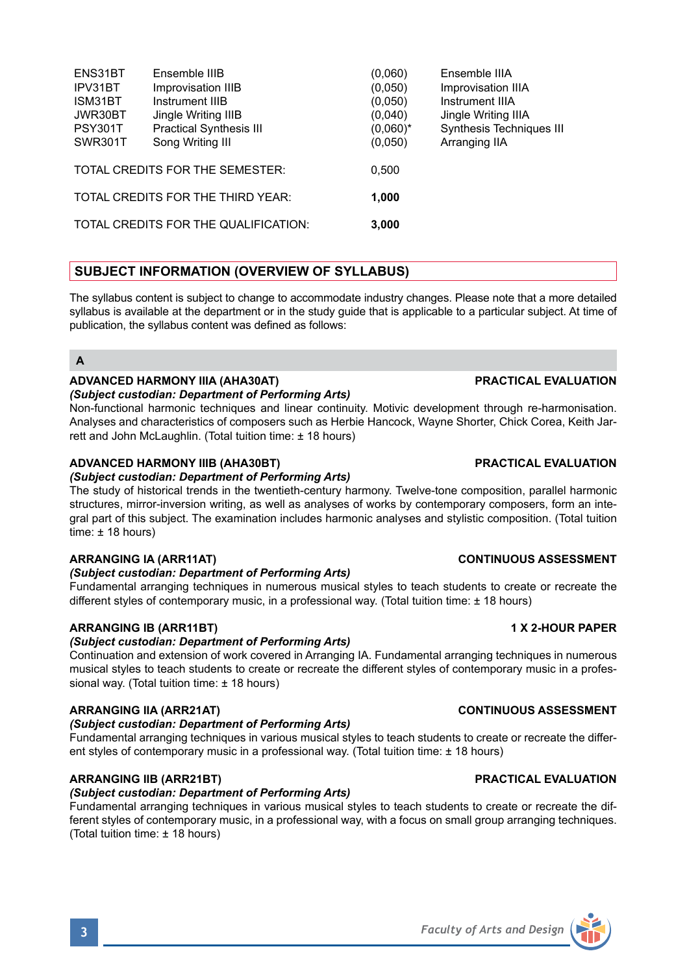| ENS31BT        | Ensemble IIIB                        | (0.060)     | Ensemble IIIA            |
|----------------|--------------------------------------|-------------|--------------------------|
| IPV31BT        | Improvisation IIIB                   | (0.050)     | Improvisation IIIA       |
| ISM31BT        | Instrument IIIB                      | (0,050)     | Instrument IIIA          |
| JWR30BT        | Jingle Writing IIIB                  | (0,040)     | Jingle Writing IIIA      |
| <b>PSY301T</b> | <b>Practical Synthesis III</b>       | $(0.060)^*$ | Synthesis Techniques III |
| <b>SWR301T</b> | Song Writing III                     | (0.050)     | Arranging IIA            |
|                | TOTAL CREDITS FOR THE SEMESTER:      | 0.500       |                          |
|                | TOTAL CREDITS FOR THE THIRD YEAR:    |             |                          |
|                |                                      | 1,000       |                          |
|                | TOTAL CREDITS FOR THE QUALIFICATION: | 3.000       |                          |

# **SUBJECT INFORMATION (OVERVIEW OF SYLLABUS)**

The syllabus content is subject to change to accommodate industry changes. Please note that a more detailed syllabus is available at the department or in the study guide that is applicable to a particular subject. At time of publication, the syllabus content was defined as follows:

# **A**

# **ADVANCED HARMONY IIIA (AHA30AT) PRACTICAL EVALUATION**

### *(Subject custodian: Department of Performing Arts)*

Non-functional harmonic techniques and linear continuity. Motivic development through re-harmonisation. Analyses and characteristics of composers such as Herbie Hancock, Wayne Shorter, Chick Corea, Keith Jarrett and John McLaughlin. (Total tuition time: ± 18 hours)

### **ADVANCED HARMONY IIIB (AHA30BT) PRACTICAL EVALUATION**

### *(Subject custodian: Department of Performing Arts)*

The study of historical trends in the twentieth-century harmony. Twelve-tone composition, parallel harmonic structures, mirror-inversion writing, as well as analyses of works by contemporary composers, form an integral part of this subject. The examination includes harmonic analyses and stylistic composition. (Total tuition time: ± 18 hours)

### *(Subject custodian: Department of Performing Arts)*

Fundamental arranging techniques in numerous musical styles to teach students to create or recreate the different styles of contemporary music, in a professional way. (Total tuition time: ± 18 hours)

### **ARRANGING IB (ARR11BT) 1 X 2-HOUR PAPER**

### *(Subject custodian: Department of Performing Arts)*

Continuation and extension of work covered in Arranging IA. Fundamental arranging techniques in numerous musical styles to teach students to create or recreate the different styles of contemporary music in a professional way. (Total tuition time: ± 18 hours)

### **ARRANGING IIA (ARR21AT) CONTINUOUS ASSESSMENT**

### *(Subject custodian: Department of Performing Arts)*

Fundamental arranging techniques in various musical styles to teach students to create or recreate the different styles of contemporary music in a professional way. (Total tuition time: ± 18 hours)

# **ARRANGING IIB (ARR21BT) PRACTICAL EVALUATION**

# *(Subject custodian: Department of Performing Arts)*

Fundamental arranging techniques in various musical styles to teach students to create or recreate the different styles of contemporary music, in a professional way, with a focus on small group arranging techniques. (Total tuition time: ± 18 hours)

### **ARRANGING IA (ARR11AT) CONTINUOUS ASSESSMENT**

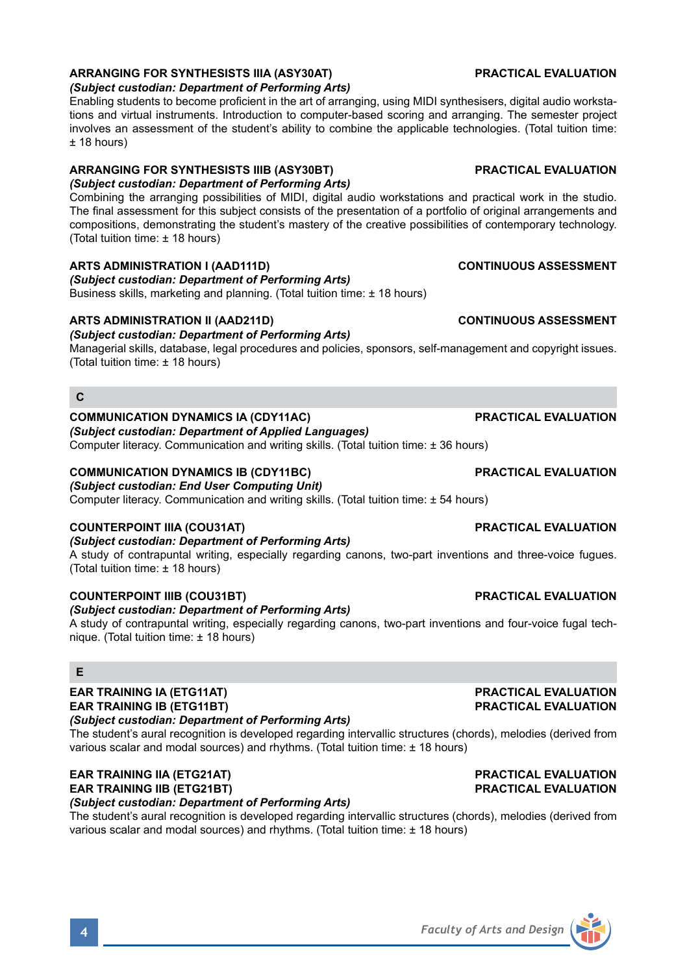### **ARRANGING FOR SYNTHESISTS IIIA (ASY30AT) PRACTICAL EVALUATION**

#### *(Subject custodian: Department of Performing Arts)*

Enabling students to become proficient in the art of arranging, using MIDI synthesisers, digital audio workstations and virtual instruments. Introduction to computer-based scoring and arranging. The semester project involves an assessment of the student's ability to combine the applicable technologies. (Total tuition time: ± 18 hours)

### **ARRANGING FOR SYNTHESISTS IIIB (ASY30BT) PRACTICAL EVALUATION**

# *(Subject custodian: Department of Performing Arts)*

Combining the arranging possibilities of MIDI, digital audio workstations and practical work in the studio. The final assessment for this subject consists of the presentation of a portfolio of original arrangements and compositions, demonstrating the student's mastery of the creative possibilities of contemporary technology. (Total tuition time: ± 18 hours)

### **ARTS ADMINISTRATION I (AAD111D) CONTINUOUS ASSESSMENT**

*(Subject custodian: Department of Performing Arts)* Business skills, marketing and planning. (Total tuition time: ± 18 hours)

### **ARTS ADMINISTRATION II (AAD211D) CONTINUOUS ASSESSMENT**

### *(Subject custodian: Department of Performing Arts)*

Managerial skills, database, legal procedures and policies, sponsors, self-management and copyright issues. (Total tuition time: ± 18 hours)

### **C**

#### **COMMUNICATION DYNAMICS IA (CDY11AC) PRACTICAL EVALUATION**

*(Subject custodian: Department of Applied Languages)*

Computer literacy. Communication and writing skills. (Total tuition time: ± 36 hours)

## **COMMUNICATION DYNAMICS IB (CDY11BC) PRACTICAL EVALUATION**

### *(Subject custodian: End User Computing Unit)*

Computer literacy. Communication and writing skills. (Total tuition time:  $\pm$  54 hours)

### **COUNTERPOINT IIIA (COU31AT) PRACTICAL EVALUATION**

*(Subject custodian: Department of Performing Arts)* A study of contrapuntal writing, especially regarding canons, two-part inventions and three-voice fugues. (Total tuition time: ± 18 hours)

### **COUNTERPOINT IIIB (COU31BT) PRACTICAL EVALUATION**

#### *(Subject custodian: Department of Performing Arts)*

A study of contrapuntal writing, especially regarding canons, two-part inventions and four-voice fugal technique. (Total tuition time: ± 18 hours)

### **E**

#### **EAR TRAINING IA (ETG11AT)**<br> **EAR TRAINING IB (ETG11BT) EAR TRAINING IB (ETG11BT) EAR TRAINING IB (ETG11BT)**

#### *(Subject custodian: Department of Performing Arts)*

The student's aural recognition is developed regarding intervallic structures (chords), melodies (derived from various scalar and modal sources) and rhythms. (Total tuition time: ± 18 hours)

### **EAR TRAINING IIA (ETG21AT) PRACTICAL EVALUATION EAR TRAINING IIB (ETG21BT)**

*(Subject custodian: Department of Performing Arts)*

The student's aural recognition is developed regarding intervallic structures (chords), melodies (derived from various scalar and modal sources) and rhythms. (Total tuition time: ± 18 hours)

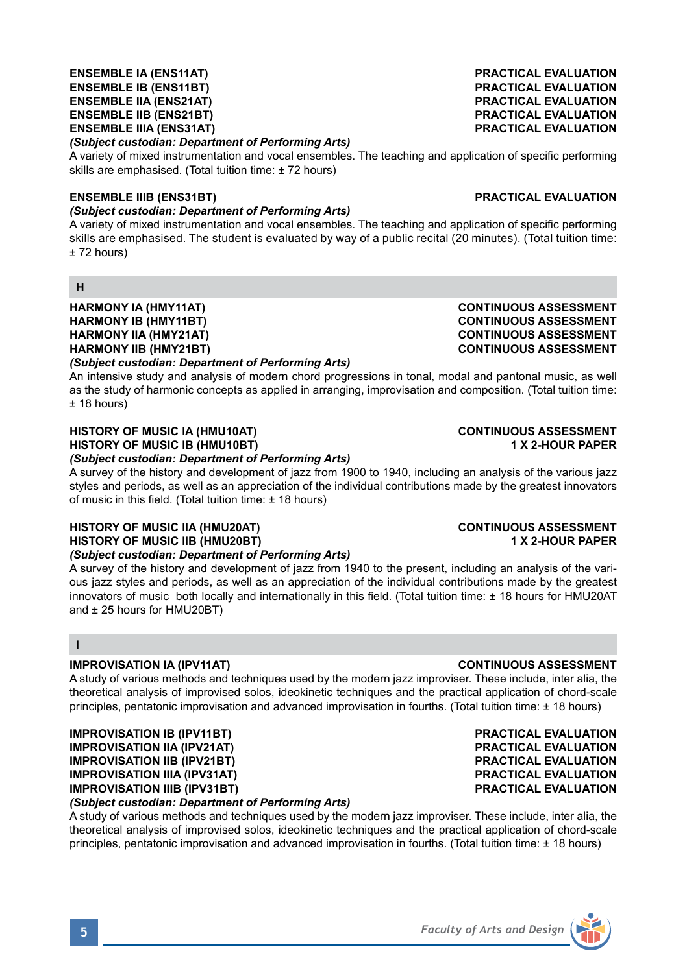# **ENSEMBLE IIB (ENS21BT) PRACTICAL EVALUATION ENSEMBLE IIIA (ENS31AT)**

### *(Subject custodian: Department of Performing Arts)*

A variety of mixed instrumentation and vocal ensembles. The teaching and application of specific performing skills are emphasised. (Total tuition time: ± 72 hours)

#### **ENSEMBLE IIIB (ENS31BT) PRACTICAL EVALUATION**

### *(Subject custodian: Department of Performing Arts)*

A variety of mixed instrumentation and vocal ensembles. The teaching and application of specific performing skills are emphasised. The student is evaluated by way of a public recital (20 minutes). (Total tuition time: ± 72 hours)

#### **H**

# **HARMONY IA (HMY11AT) CONTINUOUS ASSESSMENT HARMONY IB (HMY11BT) CONTINUOUS ASSESSMENT HARMONY IIA (HMY21AT) CONTINUOUS ASSESSMENT HARMONY IIB (HMY21BT)**

### *(Subject custodian: Department of Performing Arts)*

An intensive study and analysis of modern chord progressions in tonal, modal and pantonal music, as well as the study of harmonic concepts as applied in arranging, improvisation and composition. (Total tuition time: ± 18 hours)

# **HISTORY OF MUSIC IA (HMU10AT) CONTINUOUS ASSESSMENT HISTORY OF MUSIC IB (HMU10BT)**

### *(Subject custodian: Department of Performing Arts)*

A survey of the history and development of jazz from 1900 to 1940, including an analysis of the various jazz styles and periods, as well as an appreciation of the individual contributions made by the greatest innovators of music in this field. (Total tuition time: ± 18 hours)

# **HISTORY OF MUSIC IIA (HMU20AT) CONTINUOUS ASSESSMENT HISTORY OF MUSIC IIB (HMU20BT) 1 X 2-HOUR PAPER**

*(Subject custodian: Department of Performing Arts)*

A survey of the history and development of jazz from 1940 to the present, including an analysis of the various jazz styles and periods, as well as an appreciation of the individual contributions made by the greatest innovators of music both locally and internationally in this field. (Total tuition time: ± 18 hours for HMU20AT and ± 25 hours for HMU20BT)

### **I**

### **IMPROVISATION IA (IPV11AT) CONTINUOUS ASSESSMENT**

A study of various methods and techniques used by the modern jazz improviser. These include, inter alia, the theoretical analysis of improvised solos, ideokinetic techniques and the practical application of chord-scale principles, pentatonic improvisation and advanced improvisation in fourths. (Total tuition time: ± 18 hours)

**IMPROVISATION IB (IPV11BT) PRACTICAL EVALUATION IMPROVISATION IIA (IPV21AT) PRACTICAL EVALUATION IMPROVISATION IIB (IPV21BT) PRACTICAL EVALUATION IMPROVISATION IIIA (IPV31AT) PRACTICAL EVALUATION IMPROVISATION IIIB (IPV31BT)** *(Subject custodian: Department of Performing Arts)*

A study of various methods and techniques used by the modern jazz improviser. These include, inter alia, the theoretical analysis of improvised solos, ideokinetic techniques and the practical application of chord-scale principles, pentatonic improvisation and advanced improvisation in fourths. (Total tuition time: ± 18 hours)



**ENSEMBLE IA (ENS11AT) PRACTICAL EVALUATION PRACTICAL EVALUATION**<br>**PRACTICAL EVALUATION ENSEMBLE IIA (ENS21AT) PRACTICAL EVALUATION**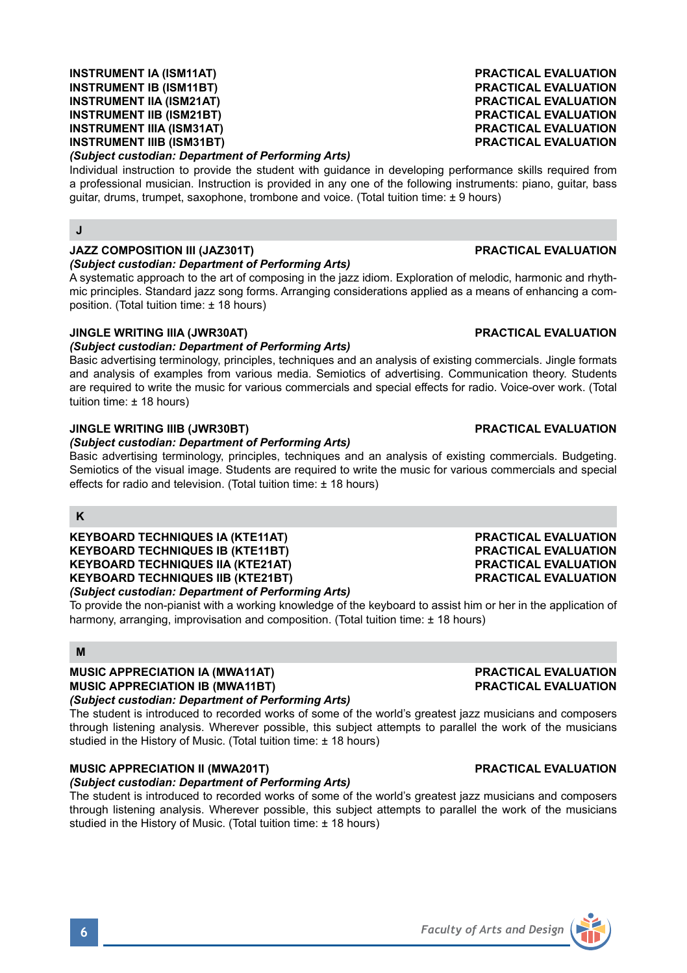# *(Subject custodian: Department of Performing Arts)*

Individual instruction to provide the student with guidance in developing performance skills required from a professional musician. Instruction is provided in any one of the following instruments: piano, guitar, bass guitar, drums, trumpet, saxophone, trombone and voice. (Total tuition time: ± 9 hours)

# **J**

### **JAZZ COMPOSITION III (JAZ301T) PRACTICAL EVALUATION**

#### *(Subject custodian: Department of Performing Arts)*

A systematic approach to the art of composing in the jazz idiom. Exploration of melodic, harmonic and rhythmic principles. Standard jazz song forms. Arranging considerations applied as a means of enhancing a composition. (Total tuition time: ± 18 hours)

#### **JINGLE WRITING IIIA (JWR30AT) PRACTICAL EVALUATION**

### *(Subject custodian: Department of Performing Arts)*

Basic advertising terminology, principles, techniques and an analysis of existing commercials. Jingle formats and analysis of examples from various media. Semiotics of advertising. Communication theory. Students are required to write the music for various commercials and special effects for radio. Voice-over work. (Total tuition time: ± 18 hours)

#### **JINGLE WRITING IIIB (JWR30BT) PRACTICAL EVALUATION**

#### *(Subject custodian: Department of Performing Arts)*

Basic advertising terminology, principles, techniques and an analysis of existing commercials. Budgeting. Semiotics of the visual image. Students are required to write the music for various commercials and special effects for radio and television. (Total tuition time: ± 18 hours)

### **K**

**KEYBOARD TECHNIQUES IA (KTE11AT) PRACTICAL EVALUATION KEYBOARD TECHNIQUES IB (KTE11BT) PRACTICAL EVALUATION KEYBOARD TECHNIQUES IIA (KTE21AT) PRACTICAL EVALUATION KEYBOARD TECHNIQUES IIB (KTE21BT)** *(Subject custodian: Department of Performing Arts)*

To provide the non-pianist with a working knowledge of the keyboard to assist him or her in the application of harmony, arranging, improvisation and composition. (Total tuition time: ± 18 hours)

### **M**

**MUSIC APPRECIATION IA (MWA11AT) PRACTICAL EVALUATION MUSIC APPRECIATION IB (MWA11BT)** *(Subject custodian: Department of Performing Arts)*

The student is introduced to recorded works of some of the world's greatest jazz musicians and composers through listening analysis. Wherever possible, this subject attempts to parallel the work of the musicians studied in the History of Music. (Total tuition time: ± 18 hours)

### **MUSIC APPRECIATION II (MWA201T) PRACTICAL EVALUATION**

#### *(Subject custodian: Department of Performing Arts)*

The student is introduced to recorded works of some of the world's greatest jazz musicians and composers through listening analysis. Wherever possible, this subject attempts to parallel the work of the musicians studied in the History of Music. (Total tuition time: ± 18 hours)